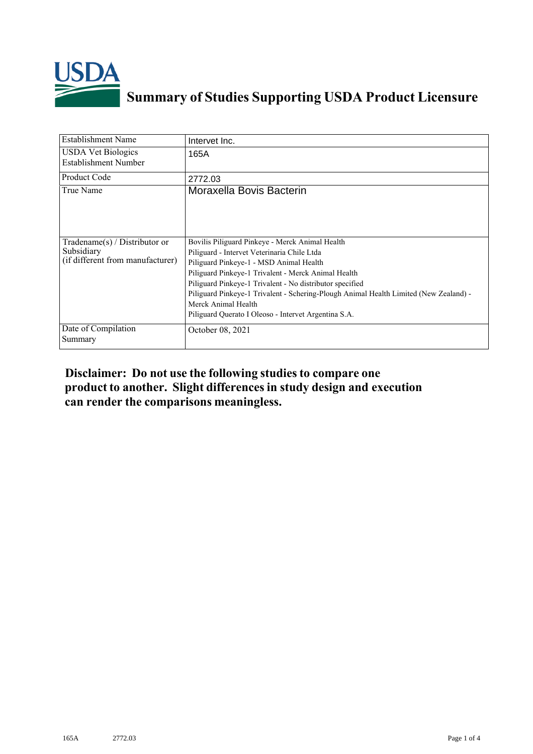

## **Summary of Studies Supporting USDA Product Licensure**

| <b>Establishment Name</b>                                                         | Intervet Inc.                                                                                                                                                                                                                                                                                                                                                                                                                        |
|-----------------------------------------------------------------------------------|--------------------------------------------------------------------------------------------------------------------------------------------------------------------------------------------------------------------------------------------------------------------------------------------------------------------------------------------------------------------------------------------------------------------------------------|
| <b>USDA Vet Biologics</b><br>Establishment Number                                 | 165A                                                                                                                                                                                                                                                                                                                                                                                                                                 |
| <b>Product Code</b>                                                               | 2772.03                                                                                                                                                                                                                                                                                                                                                                                                                              |
| True Name                                                                         | Moraxella Bovis Bacterin                                                                                                                                                                                                                                                                                                                                                                                                             |
| $Tradename(s) / Distributor$ or<br>Subsidiary<br>(if different from manufacturer) | Bovilis Piliguard Pinkeye - Merck Animal Health<br>Piliguard - Intervet Veterinaria Chile Ltda<br>Piliguard Pinkeye-1 - MSD Animal Health<br>Piliguard Pinkeye-1 Trivalent - Merck Animal Health<br>Piliguard Pinkeye-1 Trivalent - No distributor specified<br>Piliguard Pinkeye-1 Trivalent - Schering-Plough Animal Health Limited (New Zealand) -<br>Merck Animal Health<br>Piliguard Querato I Oleoso - Intervet Argentina S.A. |
| Date of Compilation<br>Summary                                                    | October 08, 2021                                                                                                                                                                                                                                                                                                                                                                                                                     |

## **Disclaimer: Do not use the following studiesto compare one product to another. Slight differencesin study design and execution can render the comparisons meaningless.**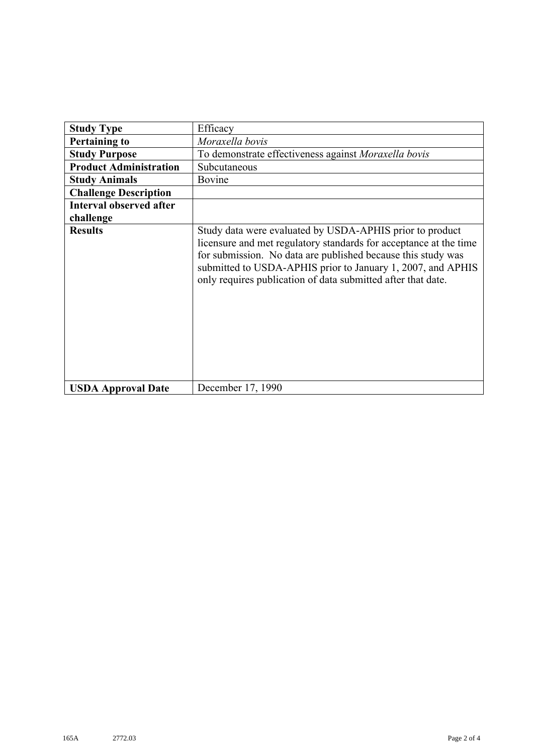| <b>Study Type</b>              | Efficacy                                                                                                                                                                                                                                                                                                                     |
|--------------------------------|------------------------------------------------------------------------------------------------------------------------------------------------------------------------------------------------------------------------------------------------------------------------------------------------------------------------------|
| <b>Pertaining to</b>           | Moraxella bovis                                                                                                                                                                                                                                                                                                              |
| <b>Study Purpose</b>           | To demonstrate effectiveness against Moraxella bovis                                                                                                                                                                                                                                                                         |
| <b>Product Administration</b>  | Subcutaneous                                                                                                                                                                                                                                                                                                                 |
| <b>Study Animals</b>           | Bovine                                                                                                                                                                                                                                                                                                                       |
| <b>Challenge Description</b>   |                                                                                                                                                                                                                                                                                                                              |
| <b>Interval observed after</b> |                                                                                                                                                                                                                                                                                                                              |
| challenge                      |                                                                                                                                                                                                                                                                                                                              |
| <b>Results</b>                 | Study data were evaluated by USDA-APHIS prior to product<br>licensure and met regulatory standards for acceptance at the time<br>for submission. No data are published because this study was<br>submitted to USDA-APHIS prior to January 1, 2007, and APHIS<br>only requires publication of data submitted after that date. |
| <b>USDA Approval Date</b>      | December 17, 1990                                                                                                                                                                                                                                                                                                            |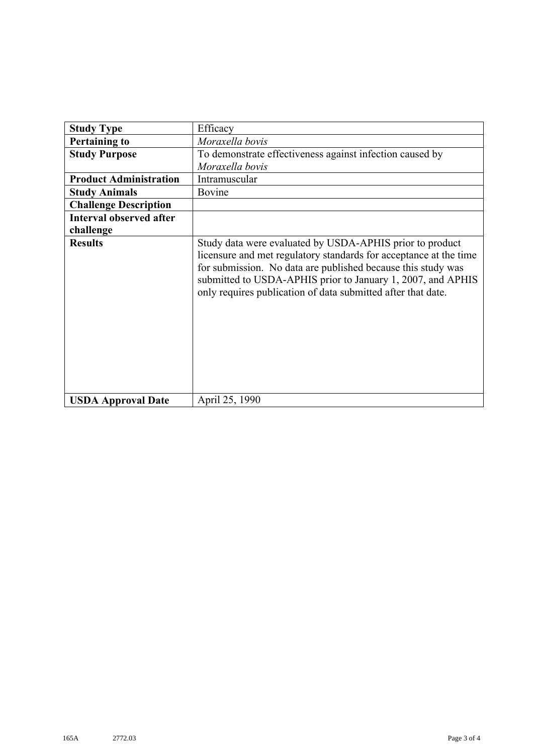| <b>Study Type</b>              | Efficacy                                                                                                                                                                                                                                                                                                                     |
|--------------------------------|------------------------------------------------------------------------------------------------------------------------------------------------------------------------------------------------------------------------------------------------------------------------------------------------------------------------------|
| <b>Pertaining to</b>           | Moraxella bovis                                                                                                                                                                                                                                                                                                              |
| <b>Study Purpose</b>           | To demonstrate effectiveness against infection caused by                                                                                                                                                                                                                                                                     |
|                                | Moraxella bovis                                                                                                                                                                                                                                                                                                              |
| <b>Product Administration</b>  | Intramuscular                                                                                                                                                                                                                                                                                                                |
| <b>Study Animals</b>           | Bovine                                                                                                                                                                                                                                                                                                                       |
| <b>Challenge Description</b>   |                                                                                                                                                                                                                                                                                                                              |
| <b>Interval observed after</b> |                                                                                                                                                                                                                                                                                                                              |
| challenge                      |                                                                                                                                                                                                                                                                                                                              |
| <b>Results</b>                 | Study data were evaluated by USDA-APHIS prior to product<br>licensure and met regulatory standards for acceptance at the time<br>for submission. No data are published because this study was<br>submitted to USDA-APHIS prior to January 1, 2007, and APHIS<br>only requires publication of data submitted after that date. |
| <b>USDA Approval Date</b>      | April 25, 1990                                                                                                                                                                                                                                                                                                               |